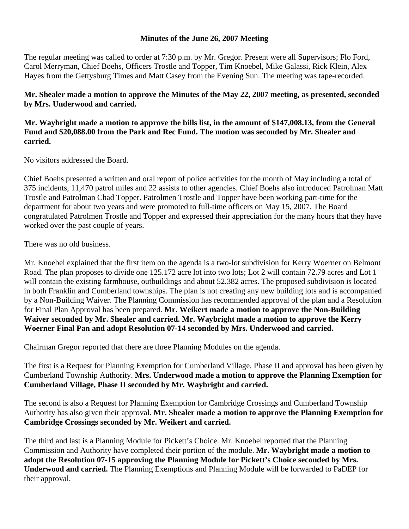## **Minutes of the June 26, 2007 Meeting**

The regular meeting was called to order at 7:30 p.m. by Mr. Gregor. Present were all Supervisors; Flo Ford, Carol Merryman, Chief Boehs, Officers Trostle and Topper, Tim Knoebel, Mike Galassi, Rick Klein, Alex Hayes from the Gettysburg Times and Matt Casey from the Evening Sun. The meeting was tape-recorded.

## **Mr. Shealer made a motion to approve the Minutes of the May 22, 2007 meeting, as presented, seconded by Mrs. Underwood and carried.**

## **Mr. Waybright made a motion to approve the bills list, in the amount of \$147,008.13, from the General Fund and \$20,088.00 from the Park and Rec Fund. The motion was seconded by Mr. Shealer and carried.**

No visitors addressed the Board.

Chief Boehs presented a written and oral report of police activities for the month of May including a total of 375 incidents, 11,470 patrol miles and 22 assists to other agencies. Chief Boehs also introduced Patrolman Matt Trostle and Patrolman Chad Topper. Patrolmen Trostle and Topper have been working part-time for the department for about two years and were promoted to full-time officers on May 15, 2007. The Board congratulated Patrolmen Trostle and Topper and expressed their appreciation for the many hours that they have worked over the past couple of years.

There was no old business.

Mr. Knoebel explained that the first item on the agenda is a two-lot subdivision for Kerry Woerner on Belmont Road. The plan proposes to divide one 125.172 acre lot into two lots; Lot 2 will contain 72.79 acres and Lot 1 will contain the existing farmhouse, outbuildings and about 52.382 acres. The proposed subdivision is located in both Franklin and Cumberland townships. The plan is not creating any new building lots and is accompanied by a Non-Building Waiver. The Planning Commission has recommended approval of the plan and a Resolution for Final Plan Approval has been prepared. **Mr. Weikert made a motion to approve the Non-Building Waiver seconded by Mr. Shealer and carried. Mr. Waybright made a motion to approve the Kerry Woerner Final Pan and adopt Resolution 07-14 seconded by Mrs. Underwood and carried.** 

Chairman Gregor reported that there are three Planning Modules on the agenda.

The first is a Request for Planning Exemption for Cumberland Village, Phase II and approval has been given by Cumberland Township Authority. **Mrs. Underwood made a motion to approve the Planning Exemption for Cumberland Village, Phase II seconded by Mr. Waybright and carried.** 

The second is also a Request for Planning Exemption for Cambridge Crossings and Cumberland Township Authority has also given their approval. **Mr. Shealer made a motion to approve the Planning Exemption for Cambridge Crossings seconded by Mr. Weikert and carried.** 

The third and last is a Planning Module for Pickett's Choice. Mr. Knoebel reported that the Planning Commission and Authority have completed their portion of the module. **Mr. Waybright made a motion to adopt the Resolution 07-15 approving the Planning Module for Pickett's Choice seconded by Mrs. Underwood and carried.** The Planning Exemptions and Planning Module will be forwarded to PaDEP for their approval.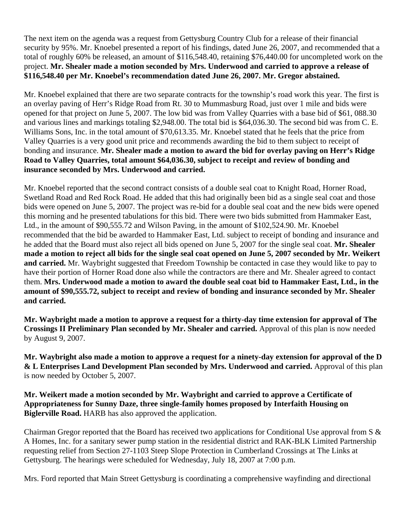The next item on the agenda was a request from Gettysburg Country Club for a release of their financial security by 95%. Mr. Knoebel presented a report of his findings, dated June 26, 2007, and recommended that a total of roughly 60% be released, an amount of \$116,548.40, retaining \$76,440.00 for uncompleted work on the project. **Mr. Shealer made a motion seconded by Mrs. Underwood and carried to approve a release of \$116,548.40 per Mr. Knoebel's recommendation dated June 26, 2007. Mr. Gregor abstained.** 

Mr. Knoebel explained that there are two separate contracts for the township's road work this year. The first is an overlay paving of Herr's Ridge Road from Rt. 30 to Mummasburg Road, just over 1 mile and bids were opened for that project on June 5, 2007. The low bid was from Valley Quarries with a base bid of \$61, 088.30 and various lines and markings totaling \$2,948.00. The total bid is \$64,036.30. The second bid was from C. E. Williams Sons, Inc. in the total amount of \$70,613.35. Mr. Knoebel stated that he feels that the price from Valley Quarries is a very good unit price and recommends awarding the bid to them subject to receipt of bonding and insurance. **Mr. Shealer made a motion to award the bid for overlay paving on Herr's Ridge Road to Valley Quarries, total amount \$64,036.30, subject to receipt and review of bonding and insurance seconded by Mrs. Underwood and carried.** 

Mr. Knoebel reported that the second contract consists of a double seal coat to Knight Road, Horner Road, Swetland Road and Red Rock Road. He added that this had originally been bid as a single seal coat and those bids were opened on June 5, 2007. The project was re-bid for a double seal coat and the new bids were opened this morning and he presented tabulations for this bid. There were two bids submitted from Hammaker East, Ltd., in the amount of \$90,555.72 and Wilson Paving, in the amount of \$102,524.90. Mr. Knoebel recommended that the bid be awarded to Hammaker East, Ltd. subject to receipt of bonding and insurance and he added that the Board must also reject all bids opened on June 5, 2007 for the single seal coat. **Mr. Shealer made a motion to reject all bids for the single seal coat opened on June 5, 2007 seconded by Mr. Weikert and carried.** Mr. Waybright suggested that Freedom Township be contacted in case they would like to pay to have their portion of Horner Road done also while the contractors are there and Mr. Shealer agreed to contact them. **Mrs. Underwood made a motion to award the double seal coat bid to Hammaker East, Ltd., in the amount of \$90,555.72, subject to receipt and review of bonding and insurance seconded by Mr. Shealer and carried.** 

**Mr. Waybright made a motion to approve a request for a thirty-day time extension for approval of The Crossings II Preliminary Plan seconded by Mr. Shealer and carried.** Approval of this plan is now needed by August 9, 2007.

**Mr. Waybright also made a motion to approve a request for a ninety-day extension for approval of the D & L Enterprises Land Development Plan seconded by Mrs. Underwood and carried.** Approval of this plan is now needed by October 5, 2007.

**Mr. Weikert made a motion seconded by Mr. Waybright and carried to approve a Certificate of Appropriateness for Sunny Daze, three single-family homes proposed by Interfaith Housing on Biglerville Road.** HARB has also approved the application.

Chairman Gregor reported that the Board has received two applications for Conditional Use approval from S & A Homes, Inc. for a sanitary sewer pump station in the residential district and RAK-BLK Limited Partnership requesting relief from Section 27-1103 Steep Slope Protection in Cumberland Crossings at The Links at Gettysburg. The hearings were scheduled for Wednesday, July 18, 2007 at 7:00 p.m.

Mrs. Ford reported that Main Street Gettysburg is coordinating a comprehensive wayfinding and directional